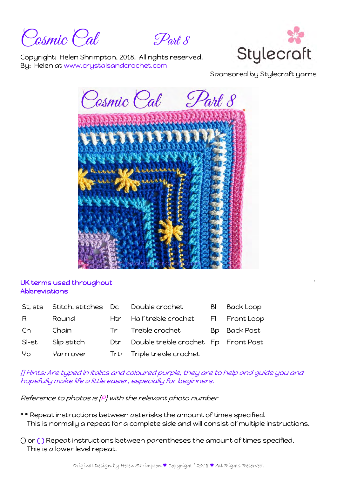Cosmic Cal Part 8



Copyright: Helen Shrimpton, 2018. All rights reserved. By: Helen at www.crystalsandcrochet.com

Sponsored by Stylecraft yarns



## UK terms used throughout Abbreviations

| St. sts | Stitch, stitches Dc |     | Double crochet                      | BI | <b>Back Loop</b> |
|---------|---------------------|-----|-------------------------------------|----|------------------|
| R       | Round               |     | Htr Half treble crochet             |    | FI Front Loop    |
| Ch.     | Chain               |     | Tr Treble crochet                   |    | Bp Back Post     |
| SI-st   | Slip stitch         | Dtr | Double treble crochet Fp Front Post |    |                  |
| Yo      | Yarn over           |     | Trtr Triple treble crochet          |    |                  |

[] Hints: Are typed in italics and coloured purple, they are to help and guide you and hopefully make life a little easier, especially for beginners.

Reference to photos is [P] with the relevant photo number

- \* \* Repeat instructions between asterisks the amount of times specified. This is normally a repeat for a complete side and will consist of multiple instructions.
- () or ( ) Repeat instructions between parentheses the amount of times specified. This is a lower level repeat.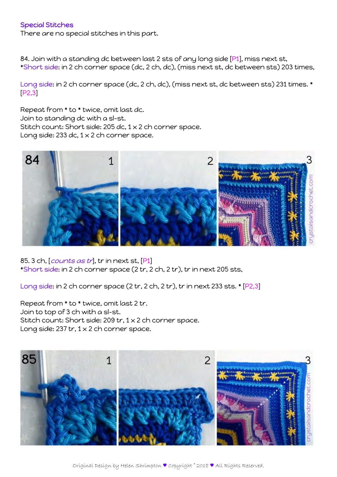## Special Stitches

There are no special stitches in this part.

84. Join with a standing dc between last 2 sts of any long side [P1], miss next st, \*Short side: in 2 ch corner space (dc, 2 ch, dc), (miss next st, dc between sts) 203 times,

Long side: in 2 ch corner space (dc, 2 ch, dc), (miss next st, dc between sts) 231 times. \* [P2,3]

Repeat from \* to \* twice, omit last dc. Join to standing dc with a sl-st. Stitch count: Short side: 205 dc, 1 x 2 ch corner space. Long side: 233 dc,  $1 \times 2$  ch corner space.



85. 3 ch, [*counts as tr*], tr in next st, [P1] \*Short side: in 2 ch corner space (2 tr, 2 ch, 2 tr), tr in next 205 sts,

Long side: in 2 ch corner space (2 tr, 2 ch, 2 tr), tr in next 233 sts. \* [P2,3]

Repeat from \* to \* twice, omit last 2 tr. Join to top of 3 ch with a sl-st. Stitch count: Short side: 209 tr, 1 x 2 ch corner space. Long side: 237 tr,  $1 \times 2$  ch corner space.

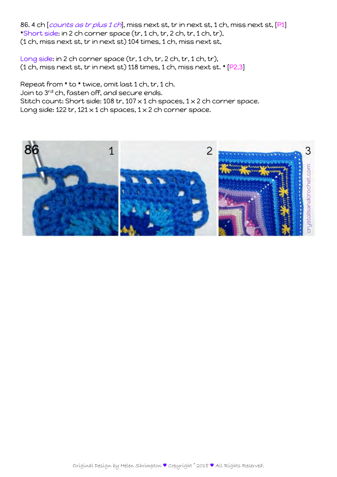86. 4 ch [counts as tr plus 1 ch], miss next st, tr in next st, 1 ch, miss next st, [P1] \*Short side: in 2 ch corner space (tr, 1 ch, tr, 2 ch, tr, 1 ch, tr), (1 ch, miss next st, tr in next st) 104 times, 1 ch, miss next st,

Long side: in 2 ch corner space (tr, 1 ch, tr, 2 ch, tr, 1 ch, tr), (1 ch, miss next st, tr in next st) 118 times, 1 ch, miss next st. \* [P2,3]

Repeat from \* to \* twice, omit last 1 ch, tr, 1 ch. Join to 3rd ch, fasten off, and secure ends. Stitch count: Short side: 108 tr, 107  $\times$  1 ch spaces, 1  $\times$  2 ch corner space. Long side: 122 tr, 121  $\times$  1 ch spaces, 1  $\times$  2 ch corner space.

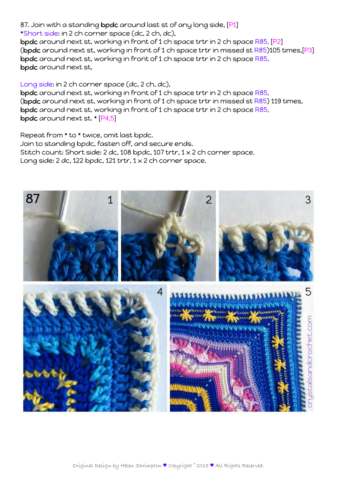## 87. Join with a standing bpdc around last st of any long side, [P1]

\*Short side: in 2 ch corner space (dc, 2 ch, dc), bpdc around next st, working in front of 1 ch space trtr in 2 ch space R85, [P2] (bpdc around next st, working in front of 1 ch space trtr in missed st R85)105 times,[P3]

bpdc around next st, working in front of 1 ch space trtr in 2 ch space R85, bpdc around next st,

## Long side: in 2 ch corner space (dc, 2 ch, dc),

bpdc around next st, working in front of 1 ch space trtr in 2 ch space R85, (bpdc around next st, working in front of 1 ch space trtr in missed st R85) 119 times, bpdc around next st, working in front of 1 ch space trtr in 2 ch space R85, bpdc around next st. \* [P4,5]

Repeat from \* to \* twice, omit last bpdc. Join to standing bpdc, fasten off, and secure ends. Stitch count: Short side: 2 dc, 108 bpdc, 107 trtr, 1 x 2 ch corner space. Long side: 2 dc, 122 bpdc, 121 trtr,  $1 \times 2$  ch corner space.

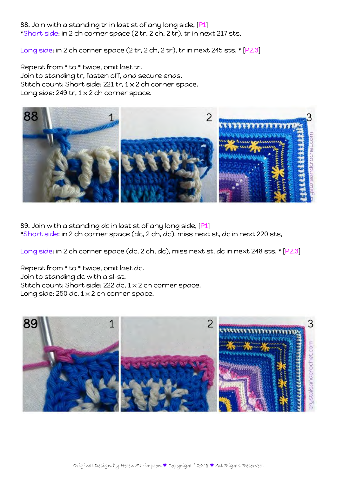88. Join with a standing tr in last st of any long side, [P1] \*Short side: in 2 ch corner space (2 tr, 2 ch, 2 tr), tr in next 217 sts,

Long side: in 2 ch corner space (2 tr, 2 ch, 2 tr), tr in next 245 sts. \* [P2,3]

Repeat from \* to \* twice, omit last tr. Join to standing tr, fasten off, and secure ends. Stitch count: Short side: 221 tr, 1 x 2 ch corner space. Long side: 249 tr,  $1 \times 2$  ch corner space.



89. Join with a standing dc in last st of any long side, [P1] \*Short side: in 2 ch corner space (dc, 2 ch, dc), miss next st, dc in next 220 sts,

Long side: in 2 ch corner space (dc, 2 ch, dc), miss next st, dc in next 248 sts. \* [P2,3]

Repeat from \* to \* twice, omit last dc. Join to standing dc with a sl-st. Stitch count: Short side: 222 dc, 1 x 2 ch corner space. Long side: 250 dc,  $1 \times 2$  ch corner space.